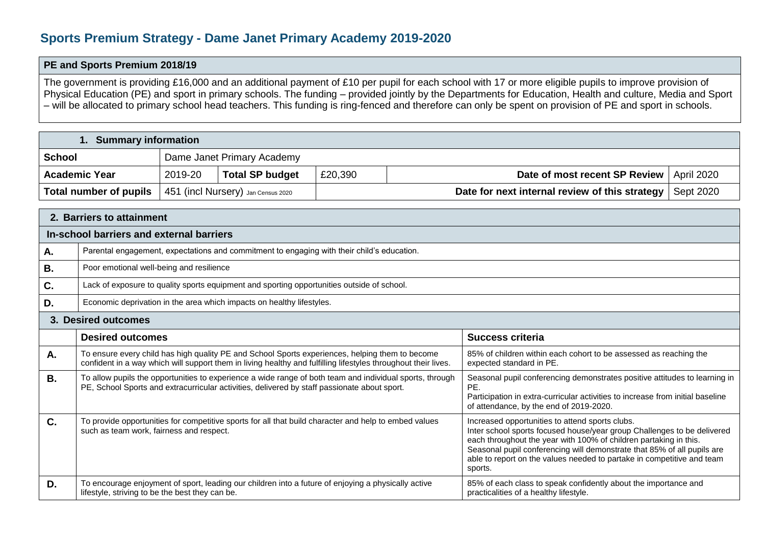## **Sports Premium Strategy - Dame Janet Primary Academy 2019-2020**

## **PE and Sports Premium 2018/19**

The government is providing £16,000 and an additional payment of £10 per pupil for each school with 17 or more eligible pupils to improve provision of Physical Education (PE) and sport in primary schools. The funding – provided jointly by the Departments for Education, Health and culture, Media and Sport – will be allocated to primary school head teachers. This funding is ring-fenced and therefore can only be spent on provision of PE and sport in schools.

## **1. Summary information**

| <b>School</b>                                                            | Dame Janet Primary Academy |                        |                                                            |                                            |  |  |  |
|--------------------------------------------------------------------------|----------------------------|------------------------|------------------------------------------------------------|--------------------------------------------|--|--|--|
| <b>Academic Year</b>                                                     | 2019-20                    | <b>Total SP budget</b> | £20,390                                                    | Date of most recent SP Review   April 2020 |  |  |  |
| <b>Total number of pupils</b> $\vert$ 451 (incl Nursery) Jan Census 2020 |                            |                        | Date for next internal review of this strategy   Sept 2020 |                                            |  |  |  |

| 2. Barriers to attainment                |                                                                                                                                                                                                                   |                                                                                                                                                                                                                                                                                                                                                                 |  |  |  |  |
|------------------------------------------|-------------------------------------------------------------------------------------------------------------------------------------------------------------------------------------------------------------------|-----------------------------------------------------------------------------------------------------------------------------------------------------------------------------------------------------------------------------------------------------------------------------------------------------------------------------------------------------------------|--|--|--|--|
| In-school barriers and external barriers |                                                                                                                                                                                                                   |                                                                                                                                                                                                                                                                                                                                                                 |  |  |  |  |
| А.                                       | Parental engagement, expectations and commitment to engaging with their child's education.                                                                                                                        |                                                                                                                                                                                                                                                                                                                                                                 |  |  |  |  |
| <b>B.</b>                                | Poor emotional well-being and resilience                                                                                                                                                                          |                                                                                                                                                                                                                                                                                                                                                                 |  |  |  |  |
| C.                                       | Lack of exposure to quality sports equipment and sporting opportunities outside of school.                                                                                                                        |                                                                                                                                                                                                                                                                                                                                                                 |  |  |  |  |
| D.                                       | Economic deprivation in the area which impacts on healthy lifestyles.                                                                                                                                             |                                                                                                                                                                                                                                                                                                                                                                 |  |  |  |  |
| 3. Desired outcomes                      |                                                                                                                                                                                                                   |                                                                                                                                                                                                                                                                                                                                                                 |  |  |  |  |
|                                          | <b>Desired outcomes</b>                                                                                                                                                                                           | <b>Success criteria</b>                                                                                                                                                                                                                                                                                                                                         |  |  |  |  |
| А.                                       | To ensure every child has high quality PE and School Sports experiences, helping them to become<br>confident in a way which will support them in living healthy and fulfilling lifestyles throughout their lives. | 85% of children within each cohort to be assessed as reaching the<br>expected standard in PE.                                                                                                                                                                                                                                                                   |  |  |  |  |
| <b>B.</b>                                | To allow pupils the opportunities to experience a wide range of both team and individual sports, through<br>PE, School Sports and extracurricular activities, delivered by staff passionate about sport.          | Seasonal pupil conferencing demonstrates positive attitudes to learning in<br>PE.<br>Participation in extra-curricular activities to increase from initial baseline<br>of attendance, by the end of 2019-2020.                                                                                                                                                  |  |  |  |  |
| $\mathbf{C}$ .                           | To provide opportunities for competitive sports for all that build character and help to embed values<br>such as team work, fairness and respect.                                                                 | Increased opportunities to attend sports clubs.<br>Inter school sports focused house/year group Challenges to be delivered<br>each throughout the year with 100% of children partaking in this.<br>Seasonal pupil conferencing will demonstrate that 85% of all pupils are<br>able to report on the values needed to partake in competitive and team<br>sports. |  |  |  |  |
| D.                                       | To encourage enjoyment of sport, leading our children into a future of enjoying a physically active<br>lifestyle, striving to be the best they can be.                                                            | 85% of each class to speak confidently about the importance and<br>practicalities of a healthy lifestyle.                                                                                                                                                                                                                                                       |  |  |  |  |